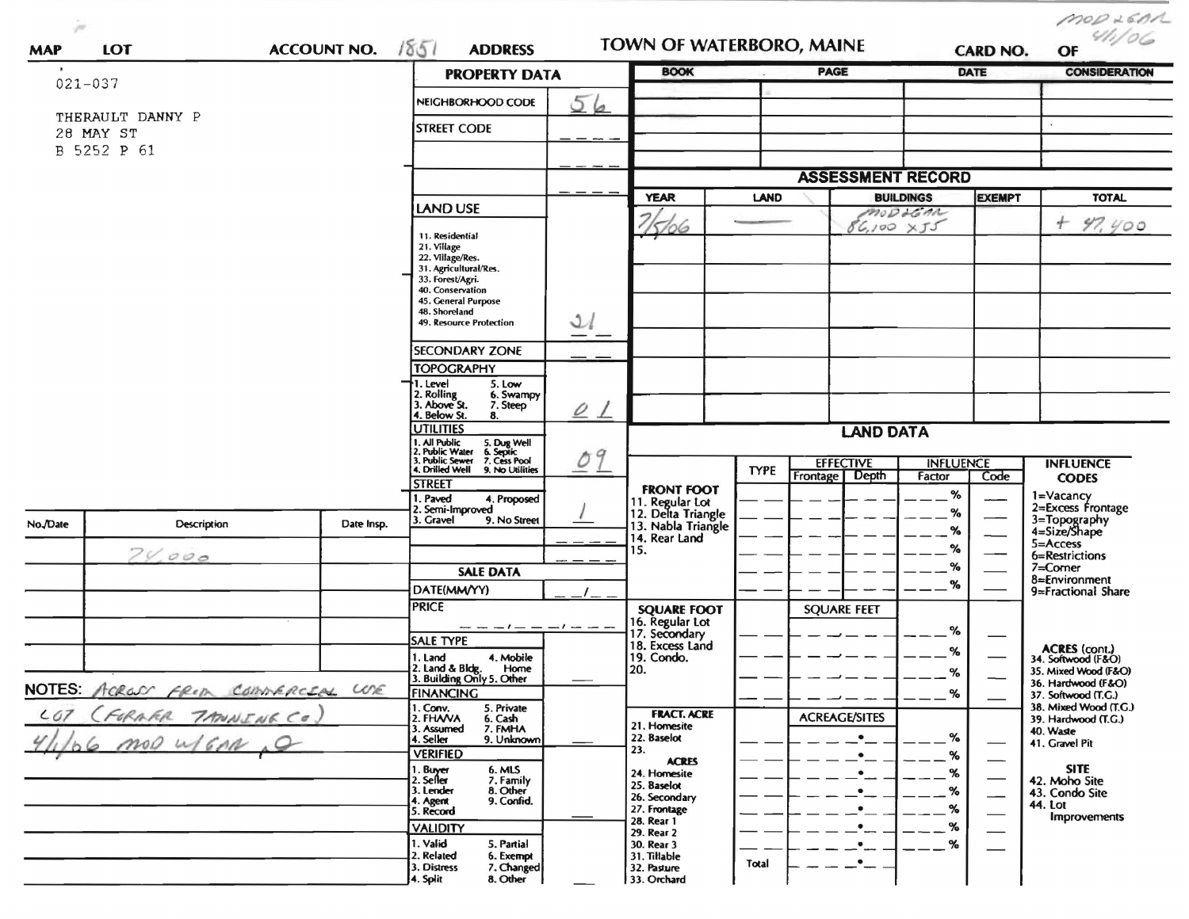| <b>ACCOUNT NO.</b><br>LOT<br><b>MAP</b> |                                  |                                                                                                                    | 1851<br><b>ADDRESS</b>                                        |                                                   | TOWN OF WATERBORO, MAINE                                    |                  |                                                             | <b>CARD NO.</b>            |                      | $m$ op 260A<br>OF                            |  |
|-----------------------------------------|----------------------------------|--------------------------------------------------------------------------------------------------------------------|---------------------------------------------------------------|---------------------------------------------------|-------------------------------------------------------------|------------------|-------------------------------------------------------------|----------------------------|----------------------|----------------------------------------------|--|
| $021 - 037$                             |                                  |                                                                                                                    | <b>PROPERTY DATA</b>                                          | <b>BOOK</b>                                       |                                                             | <b>PAGE</b>      |                                                             | <b>DATE</b>                | <b>CONSIDERATION</b> |                                              |  |
|                                         |                                  |                                                                                                                    | NEIGHBORHOOD CODE                                             | 56                                                |                                                             |                  |                                                             |                            |                      |                                              |  |
|                                         | THERAULT DANNY P                 | <b>STREET CODE</b>                                                                                                 |                                                               |                                                   |                                                             |                  |                                                             |                            |                      |                                              |  |
| 28 MAY ST<br>B 5252 P 61                |                                  |                                                                                                                    |                                                               |                                                   |                                                             |                  |                                                             |                            |                      |                                              |  |
|                                         |                                  |                                                                                                                    |                                                               |                                                   |                                                             |                  |                                                             |                            |                      |                                              |  |
|                                         |                                  |                                                                                                                    |                                                               |                                                   | <b>YEAR</b>                                                 |                  | <b>ASSESSMENT RECORD</b><br><b>LAND</b><br><b>BUILDINGS</b> |                            |                      | <b>TOTAL</b>                                 |  |
|                                         |                                  |                                                                                                                    | LAND USE                                                      |                                                   |                                                             |                  |                                                             | modolom                    | <b>EXEMPT</b>        | $+ 97, y00$                                  |  |
|                                         |                                  |                                                                                                                    | 11. Residential                                               |                                                   | 5/06                                                        |                  | $86,100 \times 55$                                          |                            |                      |                                              |  |
|                                         |                                  | 21. Village<br>22. Village/Res.                                                                                    |                                                               |                                                   |                                                             |                  |                                                             |                            |                      |                                              |  |
|                                         |                                  |                                                                                                                    | 31. Agricultural/Res.<br>33. Forest/Agri.                     |                                                   |                                                             |                  |                                                             |                            |                      |                                              |  |
|                                         |                                  |                                                                                                                    | 40. Conservation                                              |                                                   |                                                             |                  |                                                             |                            |                      |                                              |  |
|                                         |                                  |                                                                                                                    | 45. General Purpose<br>48. Shoreland                          |                                                   |                                                             |                  |                                                             |                            |                      |                                              |  |
|                                         |                                  |                                                                                                                    | 49. Resource Protection                                       | $\mathcal{Q}$                                     |                                                             |                  |                                                             |                            |                      |                                              |  |
|                                         |                                  |                                                                                                                    | <b>SECONDARY ZONE</b>                                         |                                                   |                                                             |                  |                                                             |                            |                      |                                              |  |
|                                         |                                  |                                                                                                                    | <b>TOPOGRAPHY</b>                                             |                                                   |                                                             |                  |                                                             |                            |                      |                                              |  |
|                                         |                                  |                                                                                                                    | I. Level<br>5. Low<br>2. Rolling<br>3. Above St.<br>6. Swampy |                                                   |                                                             |                  |                                                             |                            |                      |                                              |  |
|                                         |                                  |                                                                                                                    | 7. Steep<br>4. Below St.<br>8.                                | $\overline{\mathcal{Q}}$ $\overline{\mathcal{L}}$ |                                                             |                  |                                                             |                            |                      |                                              |  |
|                                         |                                  |                                                                                                                    | <b>UTILITIES</b>                                              |                                                   |                                                             | <b>LAND DATA</b> |                                                             |                            |                      |                                              |  |
|                                         |                                  | 1. All Public<br>2. Public Water<br>3. Public Sewer<br>4. Drilled Well<br>5. Dug Well<br>6. Septic<br>7. Cess Pool | Oq                                                            |                                                   |                                                             |                  |                                                             |                            |                      |                                              |  |
|                                         |                                  |                                                                                                                    | 9. No Utilities                                               |                                                   |                                                             | <b>TYPE</b>      | <b>EFFECTIVE</b><br>Depth<br>Frontage                       | <b>INFLUENCE</b><br>Factor | Code                 | <b>INFLUENCE</b><br><b>CODES</b>             |  |
|                                         |                                  |                                                                                                                    | <b>STREET</b><br>. Paved<br>4. Proposed                       |                                                   | <b>FRONT FOOT</b>                                           |                  |                                                             | $\%$                       |                      | 1=Vacancy                                    |  |
|                                         |                                  |                                                                                                                    | 2. Semi-Improved<br>3. Gravel<br>9. No Street                 |                                                   | 11. Regular Lot<br>12. Delta Triangle<br>13. Nabla Triangle |                  |                                                             | %                          |                      | 2=Excess Frontage                            |  |
| No./Date                                | Description                      | Date Insp.                                                                                                         |                                                               |                                                   | 14. Rear Land                                               |                  |                                                             | $\%$                       |                      | 3=Topography<br>4=Size/Shape                 |  |
|                                         | 70.000                           |                                                                                                                    |                                                               |                                                   | 15.                                                         |                  |                                                             | %                          |                      | 5=Access<br>6=Restrictions                   |  |
|                                         |                                  |                                                                                                                    | <b>SALE DATA</b>                                              |                                                   |                                                             |                  |                                                             | %                          |                      | 7=Corner<br>8=Environment                    |  |
|                                         |                                  |                                                                                                                    | DATE(MM/YY)                                                   |                                                   |                                                             |                  |                                                             | $\%$                       |                      | 9=Fractional Share                           |  |
|                                         |                                  |                                                                                                                    | <b>PRICE</b>                                                  |                                                   | <b>SQUARE FOOT</b>                                          |                  | <b>SQUARE FEET</b>                                          |                            |                      |                                              |  |
|                                         |                                  |                                                                                                                    | $- -  -     -$<br><b>SALE TYPE</b>                            |                                                   | 16. Regular Lot<br>17. Secondary<br>18. Excess Land         |                  |                                                             | %                          |                      |                                              |  |
|                                         |                                  |                                                                                                                    | 4. Mobile<br>1. Land                                          |                                                   | 19. Condo.                                                  |                  |                                                             | ℅                          |                      | ACRES (cont.)<br>34. Softwood (F&O)          |  |
|                                         |                                  |                                                                                                                    | 2. Land & Bldg. Home<br>3. Building Only 5. Other<br>Home     |                                                   | 20.                                                         |                  |                                                             | $\%$                       |                      | 35. Mixed Wood (F&O)<br>36. Hardwood (F&O)   |  |
|                                         | NOTES: ACROSS FROM COMMERCIAL WE |                                                                                                                    | <b>FINANCING</b>                                              |                                                   |                                                             |                  |                                                             | %                          |                      | 37. Softwood (T.G.)                          |  |
| COT                                     | (FORARR TANNING CO)              |                                                                                                                    | 1. Conv.<br>2. FHAVA<br>5. Private<br>6. Cash                 |                                                   | <b>FRACT. ACRE</b>                                          |                  | <b>ACREAGE/SITES</b>                                        |                            |                      | 38. Mixed Wood (T.G.)<br>39. Hardwood (T.G.) |  |
|                                         | mod u/GAN 0                      |                                                                                                                    | 3. Assumed<br>7. FMHA<br>4. Seller<br>9. Unknown              |                                                   | 21. Homesite<br>22. Baselot                                 |                  | $\bullet$                                                   | %                          |                      | 40. Waste<br>41. Gravel Pit                  |  |
|                                         |                                  |                                                                                                                    | <b>VERIFIED</b>                                               |                                                   | 23.<br><b>ACRES</b>                                         |                  | $\bullet$                                                   | ℅                          |                      |                                              |  |
|                                         |                                  |                                                                                                                    | 1. Buyer<br>6. MLS<br>2. Seller<br>7. Family                  |                                                   | 24. Homesite<br>25. Baselot                                 |                  | $\bullet$                                                   | %                          |                      | <b>SITE</b><br>42. Moho Site                 |  |
|                                         |                                  |                                                                                                                    | 8. Other<br>3. Lender<br>9. Confid.<br>4. Agent               |                                                   | 26. Secondary                                               |                  | $\bullet$                                                   | %                          |                      | 43. Condo Site<br><b>44. Lot</b>             |  |
|                                         |                                  |                                                                                                                    | 5. Record                                                     |                                                   | 27. Frontage<br>28. Rear 1                                  |                  | $\bullet$                                                   | %                          |                      | <b>Improvements</b>                          |  |
|                                         |                                  |                                                                                                                    | <b>VALIDITY</b><br>1. Valid<br>5. Partial                     |                                                   | 29. Rear 2<br>30. Rear 3                                    |                  | $\bullet$                                                   | $\%$<br>%                  |                      |                                              |  |
|                                         |                                  |                                                                                                                    | 2. Related<br>6. Exempt                                       |                                                   | 31. Tillable                                                | Total            | ٠                                                           |                            |                      |                                              |  |
|                                         |                                  |                                                                                                                    | 3. Distress<br>7. Changed<br>8. Other<br>4. Split             |                                                   | 32. Pasture<br>33. Orchard                                  |                  |                                                             |                            |                      |                                              |  |